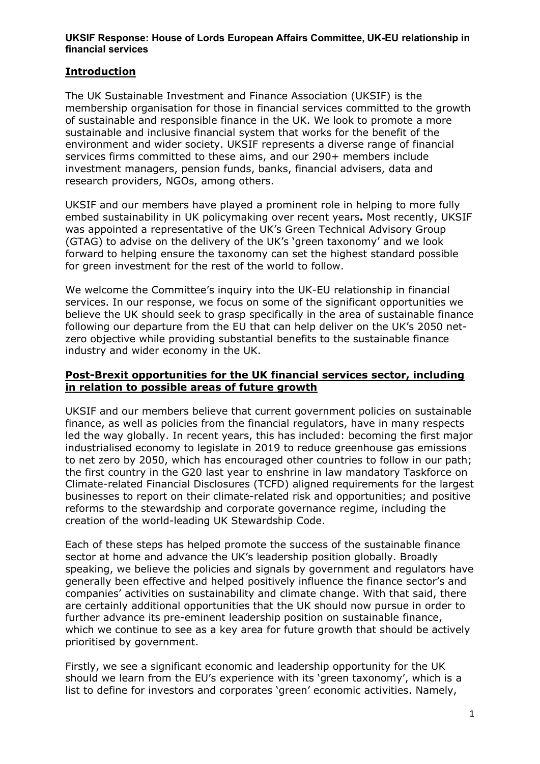## **UKSIF Response: House of Lords European Affairs Committee, UK-EU relationship in financial services**

## **Introduction**

The UK Sustainable Investment and Finance Association (UKSIF) is the membership organisation for those in financial services committed to the growth of sustainable and responsible finance in the UK. We look to promote a more sustainable and inclusive financial system that works for the benefit of the environment and wider society. UKSIF represents a diverse range of financial services firms committed to these aims, and our 290+ members include investment managers, pension funds, banks, financial advisers, data and research providers, NGOs, among others.

UKSIF and our members have played a prominent role in helping to more fully embed sustainability in UK policymaking over recent years**.** Most recently, UKSIF was appointed a representative of the UK's Green Technical Advisory Group (GTAG) to advise on the delivery of the UK's 'green taxonomy' and we look forward to helping ensure the taxonomy can set the highest standard possible for green investment for the rest of the world to follow.

We welcome the Committee's inquiry into the UK-EU relationship in financial services. In our response, we focus on some of the significant opportunities we believe the UK should seek to grasp specifically in the area of sustainable finance following our departure from the EU that can help deliver on the UK's 2050 netzero objective while providing substantial benefits to the sustainable finance industry and wider economy in the UK.

## **Post-Brexit opportunities for the UK financial services sector, including in relation to possible areas of future growth**

UKSIF and our members believe that current government policies on sustainable finance, as well as policies from the financial regulators, have in many respects led the way globally. In recent years, this has included: becoming the first major industrialised economy to legislate in 2019 to reduce greenhouse gas emissions to net zero by 2050, which has encouraged other countries to follow in our path; the first country in the G20 last year to enshrine in law mandatory Taskforce on Climate-related Financial Disclosures (TCFD) aligned requirements for the largest businesses to report on their climate-related risk and opportunities; and positive reforms to the stewardship and corporate governance regime, including the creation of the world-leading UK Stewardship Code.

Each of these steps has helped promote the success of the sustainable finance sector at home and advance the UK's leadership position globally. Broadly speaking, we believe the policies and signals by government and regulators have generally been effective and helped positively influence the finance sector's and companies' activities on sustainability and climate change. With that said, there are certainly additional opportunities that the UK should now pursue in order to further advance its pre-eminent leadership position on sustainable finance, which we continue to see as a key area for future growth that should be actively prioritised by government.

Firstly, we see a significant economic and leadership opportunity for the UK should we learn from the EU's experience with its 'green taxonomy', which is a list to define for investors and corporates 'green' economic activities. Namely,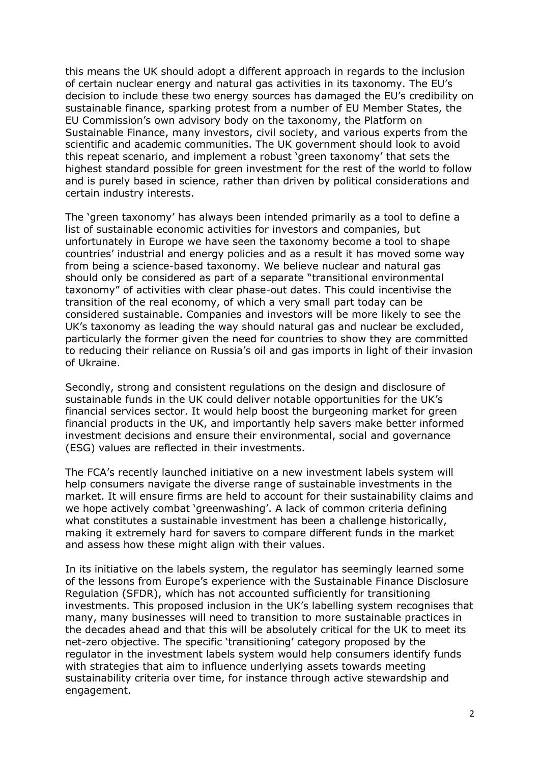this means the UK should adopt a different approach in regards to the inclusion of certain nuclear energy and natural gas activities in its taxonomy. The EU's decision to include these two energy sources has damaged the EU's credibility on sustainable finance, sparking protest from a number of EU Member States, the EU Commission's own advisory body on the taxonomy, the Platform on Sustainable Finance, many investors, civil society, and various experts from the scientific and academic communities. The UK government should look to avoid this repeat scenario, and implement a robust 'green taxonomy' that sets the highest standard possible for green investment for the rest of the world to follow and is purely based in science, rather than driven by political considerations and certain industry interests.

The 'green taxonomy' has always been intended primarily as a tool to define a list of sustainable economic activities for investors and companies, but unfortunately in Europe we have seen the taxonomy become a tool to shape countries' industrial and energy policies and as a result it has moved some way from being a science-based taxonomy. We believe nuclear and natural gas should only be considered as part of a separate "transitional environmental taxonomy" of activities with clear phase-out dates. This could incentivise the transition of the real economy, of which a very small part today can be considered sustainable. Companies and investors will be more likely to see the UK's taxonomy as leading the way should natural gas and nuclear be excluded, particularly the former given the need for countries to show they are committed to reducing their reliance on Russia's oil and gas imports in light of their invasion of Ukraine.

Secondly, strong and consistent regulations on the design and disclosure of sustainable funds in the UK could deliver notable opportunities for the UK's financial services sector. It would help boost the burgeoning market for green financial products in the UK, and importantly help savers make better informed investment decisions and ensure their environmental, social and governance (ESG) values are reflected in their investments.

The FCA's recently launched initiative on a new investment labels system will help consumers navigate the diverse range of sustainable investments in the market. It will ensure firms are held to account for their sustainability claims and we hope actively combat 'greenwashing'. A lack of common criteria defining what constitutes a sustainable investment has been a challenge historically, making it extremely hard for savers to compare different funds in the market and assess how these might align with their values.

In its initiative on the labels system, the regulator has seemingly learned some of the lessons from Europe's experience with the Sustainable Finance Disclosure Regulation (SFDR), which has not accounted sufficiently for transitioning investments. This proposed inclusion in the UK's labelling system recognises that many, many businesses will need to transition to more sustainable practices in the decades ahead and that this will be absolutely critical for the UK to meet its net-zero objective. The specific 'transitioning' category proposed by the regulator in the investment labels system would help consumers identify funds with strategies that aim to influence underlying assets towards meeting sustainability criteria over time, for instance through active stewardship and engagement.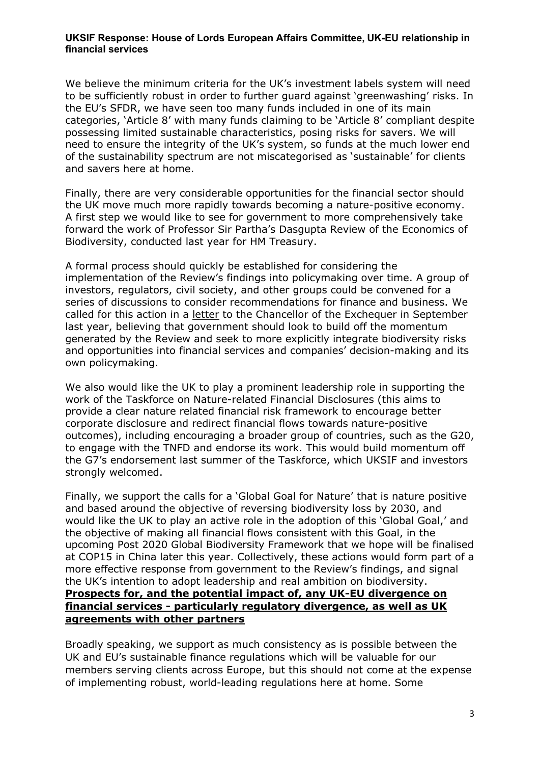## **UKSIF Response: House of Lords European Affairs Committee, UK-EU relationship in financial services**

We believe the minimum criteria for the UK's investment labels system will need to be sufficiently robust in order to further guard against 'greenwashing' risks. In the EU's SFDR, we have seen too many funds included in one of its main categories, 'Article 8' with many funds claiming to be 'Article 8' compliant despite possessing limited sustainable characteristics, posing risks for savers. We will need to ensure the integrity of the UK's system, so funds at the much lower end of the sustainability spectrum are not miscategorised as 'sustainable' for clients and savers here at home.

Finally, there are very considerable opportunities for the financial sector should the UK move much more rapidly towards becoming a nature-positive economy. A first step we would like to see for government to more comprehensively take forward the work of Professor Sir Partha's Dasgupta Review of the Economics of Biodiversity, conducted last year for HM Treasury.

A formal process should quickly be established for considering the implementation of the Review's findings into policymaking over time. A group of investors, regulators, civil society, and other groups could be convened for a series of discussions to consider recommendations for finance and business. We called for this action in a [letter](https://www.uksif.org/wp-content/uploads/2021/09/Letter-from-UKSIF-to-Chancellor-on-UK-leadership-on-biodiversity-29-September-2021-1.pdf) to the Chancellor of the Exchequer in September last year, believing that government should look to build off the momentum generated by the Review and seek to more explicitly integrate biodiversity risks and opportunities into financial services and companies' decision-making and its own policymaking.

We also would like the UK to play a prominent leadership role in supporting the work of the Taskforce on Nature-related Financial Disclosures (this aims to provide a clear nature related financial risk framework to encourage better corporate disclosure and redirect financial flows towards nature-positive outcomes), including encouraging a broader group of countries, such as the G20, to engage with the TNFD and endorse its work. This would build momentum off the G7's endorsement last summer of the Taskforce, which UKSIF and investors strongly welcomed.

Finally, we support the calls for a 'Global Goal for Nature' that is nature positive and based around the objective of reversing biodiversity loss by 2030, and would like the UK to play an active role in the adoption of this 'Global Goal,' and the objective of making all financial flows consistent with this Goal, in the upcoming Post 2020 Global Biodiversity Framework that we hope will be finalised at COP15 in China later this year. Collectively, these actions would form part of a more effective response from government to the Review's findings, and signal the UK's intention to adopt leadership and real ambition on biodiversity. **Prospects for, and the potential impact of, any UK-EU divergence on financial services - particularly regulatory divergence, as well as UK agreements with other partners**

Broadly speaking, we support as much consistency as is possible between the UK and EU's sustainable finance regulations which will be valuable for our members serving clients across Europe, but this should not come at the expense of implementing robust, world-leading regulations here at home. Some